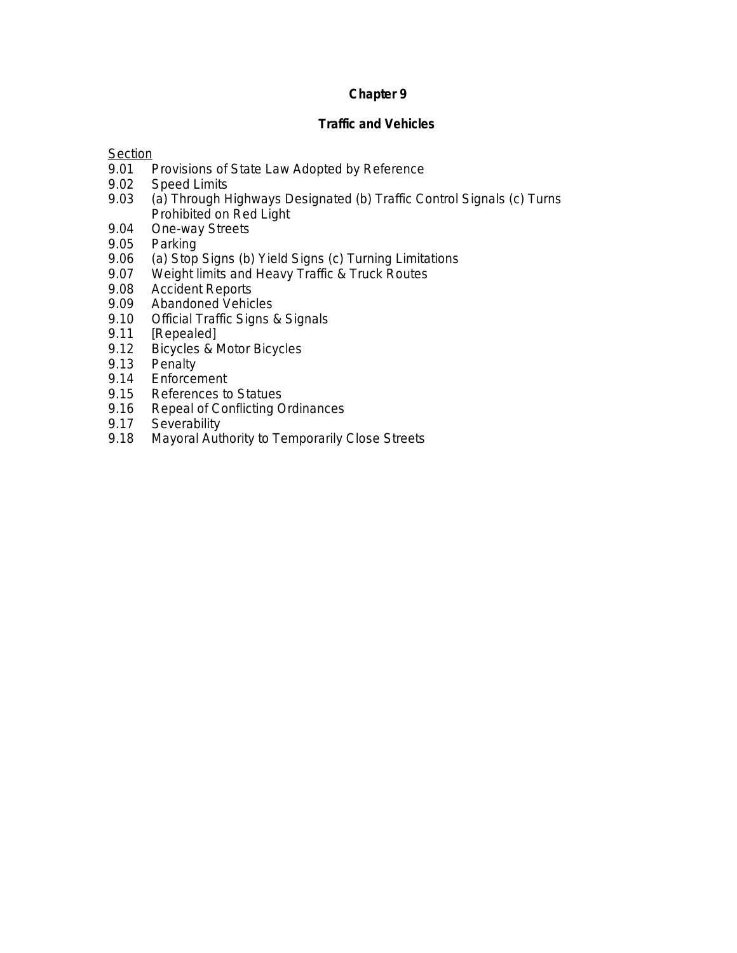# **Chapter 9**

## **Traffic and Vehicles**

# **Section**

- 9.01 Provisions of State Law Adopted by Reference<br>9.02 Speed Limits
- 9.02 Speed Limits<br>9.03 (a) Through H
- (a) Through Highways Designated (b) Traffic Control Signals (c) Turns Prohibited on Red Light
- 9.04 One-way Streets<br>9.05 Parking
- 9.05 Parking<br>9.06 (a) Stop
- 9.06 (a) Stop Signs (b) Yield Signs (c) Turning Limitations<br>9.07 Weight limits and Heavy Traffic & Truck Routes
- 9.07 Weight limits and Heavy Traffic & Truck Routes<br>9.08 Accident Reports
- 9.08 Accident Reports<br>9.09 Abandoned Vehic
- Abandoned Vehicles
- 9.10 Official Traffic Signs & Signals
- 9.11 [Repealed]<br>9.12 Bicycles & N
- 9.12 Bicycles & Motor Bicycles<br>9.13 Penalty
- 9.13 Penalty<br>9.14 Enforcer
- 9.14 Enforcement<br>9.15 References to
- References to Statues
- 9.16 Repeal of Conflicting Ordinances<br>9.17 Severability
- 9.17 Severability<br>9.18 Mayoral Autl
- Mayoral Authority to Temporarily Close Streets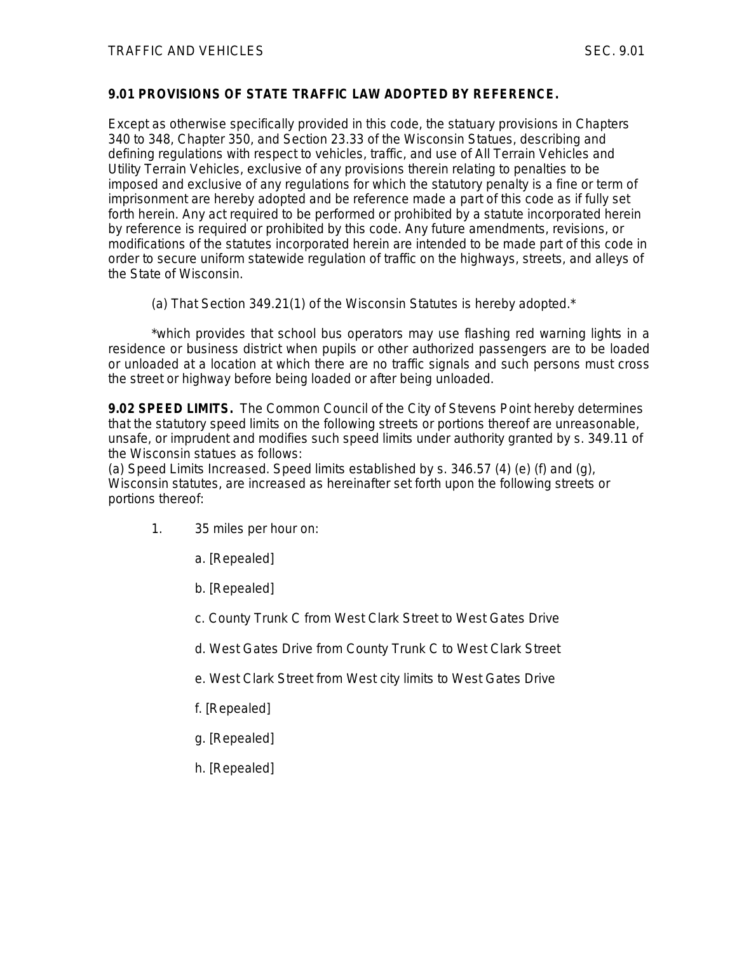#### **9.01 PROVISIONS OF STATE TRAFFIC LAW ADOPTED BY REFERENCE.**

Except as otherwise specifically provided in this code, the statuary provisions in Chapters 340 to 348, Chapter 350, and Section 23.33 of the Wisconsin Statues, describing and defining regulations with respect to vehicles, traffic, and use of All Terrain Vehicles and Utility Terrain Vehicles, exclusive of any provisions therein relating to penalties to be imposed and exclusive of any regulations for which the statutory penalty is a fine or term of imprisonment are hereby adopted and be reference made a part of this code as if fully set forth herein. Any act required to be performed or prohibited by a statute incorporated herein by reference is required or prohibited by this code. Any future amendments, revisions, or modifications of the statutes incorporated herein are intended to be made part of this code in order to secure uniform statewide regulation of traffic on the highways, streets, and alleys of the State of Wisconsin.

(a) That Section 349.21(1) of the Wisconsin Statutes is hereby adopted.\*

\*which provides that school bus operators may use flashing red warning lights in a residence or business district when pupils or other authorized passengers are to be loaded or unloaded at a location at which there are no traffic signals and such persons must cross the street or highway before being loaded or after being unloaded.

**9.02 SPEED LIMITS.** The Common Council of the City of Stevens Point hereby determines that the statutory speed limits on the following streets or portions thereof are unreasonable, unsafe, or imprudent and modifies such speed limits under authority granted by s. 349.11 of the Wisconsin statues as follows:

(a) Speed Limits Increased. Speed limits established by s.  $346.57$  (4) (e) (f) and (q), Wisconsin statutes, are increased as hereinafter set forth upon the following streets or portions thereof:

- 1. 35 miles per hour on:
	- a. [Repealed]
	- b. [Repealed]
	- c. County Trunk C from West Clark Street to West Gates Drive
	- d. West Gates Drive from County Trunk C to West Clark Street
	- e. West Clark Street from West city limits to West Gates Drive
	- f. [Repealed]
	- g. [Repealed]
	- h. [Repealed]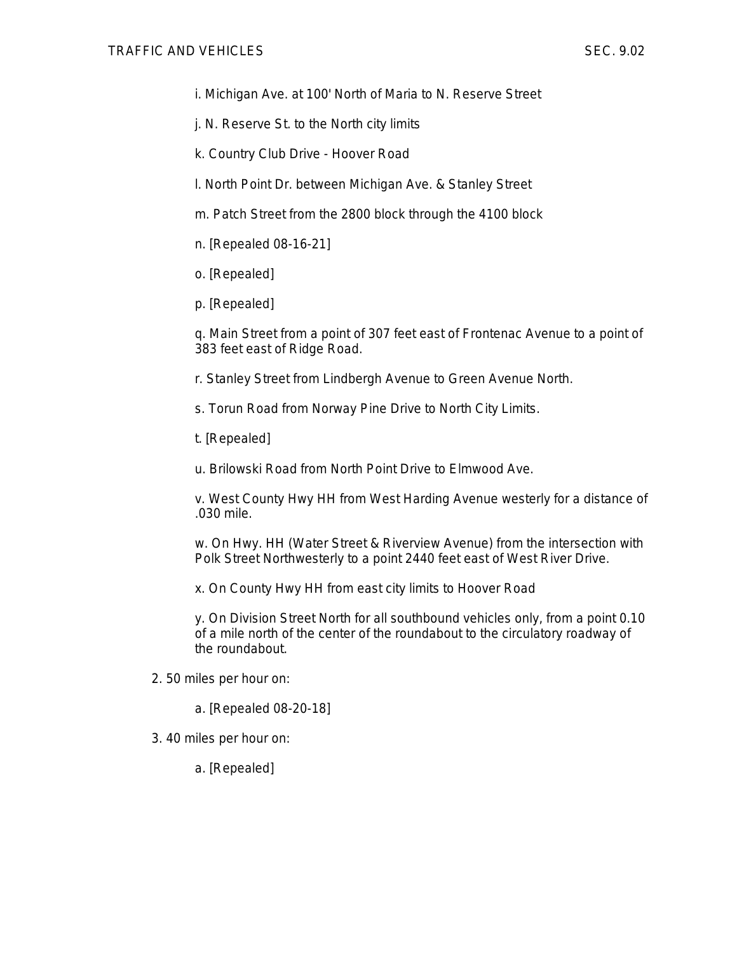i. Michigan Ave. at 100' North of Maria to N. Reserve Street

- j. N. Reserve St. to the North city limits
- k. Country Club Drive Hoover Road

l. North Point Dr. between Michigan Ave. & Stanley Street

- m. Patch Street from the 2800 block through the 4100 block
- n. [Repealed 08-16-21]
- o. [Repealed]
- p. [Repealed]

q. Main Street from a point of 307 feet east of Frontenac Avenue to a point of 383 feet east of Ridge Road.

- r. Stanley Street from Lindbergh Avenue to Green Avenue North.
- s. Torun Road from Norway Pine Drive to North City Limits.
- t. [Repealed]

u. Brilowski Road from North Point Drive to Elmwood Ave.

v. West County Hwy HH from West Harding Avenue westerly for a distance of .030 mile.

w. On Hwy. HH (Water Street & Riverview Avenue) from the intersection with Polk Street Northwesterly to a point 2440 feet east of West River Drive.

x. On County Hwy HH from east city limits to Hoover Road

y. On Division Street North for all southbound vehicles only, from a point 0.10 of a mile north of the center of the roundabout to the circulatory roadway of the roundabout.

- 2. 50 miles per hour on:
	- a. [Repealed 08-20-18]
- 3. 40 miles per hour on:

a. [Repealed]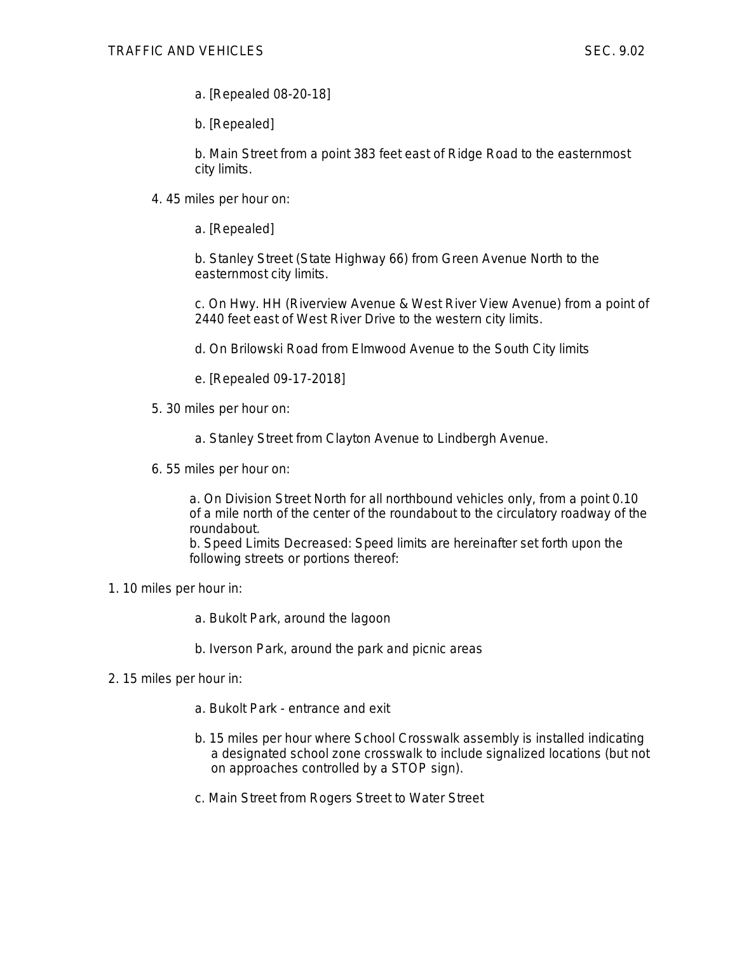- a. [Repealed 08-20-18]
- b. [Repealed]

b. Main Street from a point 383 feet east of Ridge Road to the easternmost city limits.

- 4. 45 miles per hour on:
	- a. [Repealed]

b. Stanley Street (State Highway 66) from Green Avenue North to the easternmost city limits.

c. On Hwy. HH (Riverview Avenue & West River View Avenue) from a point of 2440 feet east of West River Drive to the western city limits.

- d. On Brilowski Road from Elmwood Avenue to the South City limits
- e. [Repealed 09-17-2018]
- 5. 30 miles per hour on:
	- a. Stanley Street from Clayton Avenue to Lindbergh Avenue.
- 6. 55 miles per hour on:

a. On Division Street North for all northbound vehicles only, from a point 0.10 of a mile north of the center of the roundabout to the circulatory roadway of the roundabout.

b. Speed Limits Decreased: Speed limits are hereinafter set forth upon the following streets or portions thereof:

- 1. 10 miles per hour in:
	- a. Bukolt Park, around the lagoon
	- b. Iverson Park, around the park and picnic areas
- 2. 15 miles per hour in:
	- a. Bukolt Park entrance and exit
	- b. 15 miles per hour where School Crosswalk assembly is installed indicating a designated school zone crosswalk to include signalized locations (but not on approaches controlled by a STOP sign).
	- c. Main Street from Rogers Street to Water Street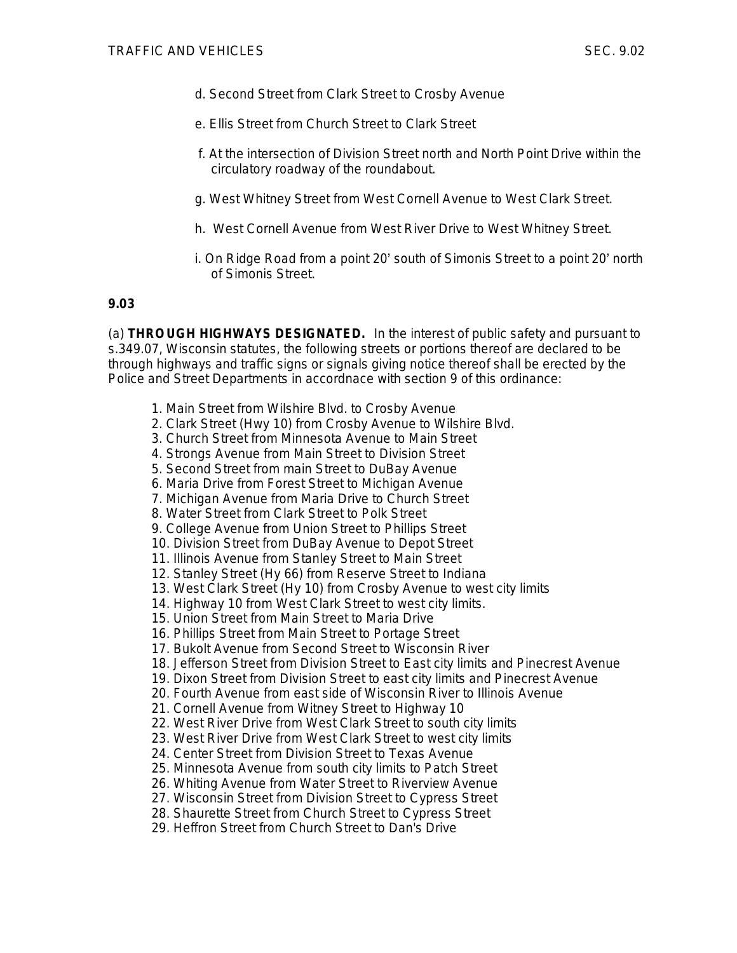- d. Second Street from Clark Street to Crosby Avenue
- e. Ellis Street from Church Street to Clark Street
- f. At the intersection of Division Street north and North Point Drive within the circulatory roadway of the roundabout.
- g. West Whitney Street from West Cornell Avenue to West Clark Street.
- h. West Cornell Avenue from West River Drive to West Whitney Street.
- i. On Ridge Road from a point 20' south of Simonis Street to a point 20' north of Simonis Street.

## **9.03**

(a) **THROUGH HIGHWAYS DESIGNATED.** In the interest of public safety and pursuant to s.349.07, Wisconsin statutes, the following streets or portions thereof are declared to be through highways and traffic signs or signals giving notice thereof shall be erected by the Police and Street Departments in accordnace with section 9 of this ordinance:

- 1. Main Street from Wilshire Blvd. to Crosby Avenue
- 2. Clark Street (Hwy 10) from Crosby Avenue to Wilshire Blvd.
- 3. Church Street from Minnesota Avenue to Main Street
- 4. Strongs Avenue from Main Street to Division Street
- 5. Second Street from main Street to DuBay Avenue
- 6. Maria Drive from Forest Street to Michigan Avenue
- 7. Michigan Avenue from Maria Drive to Church Street
- 8. Water Street from Clark Street to Polk Street
- 9. College Avenue from Union Street to Phillips Street
- 10. Division Street from DuBay Avenue to Depot Street
- 11. Illinois Avenue from Stanley Street to Main Street
- 12. Stanley Street (Hy 66) from Reserve Street to Indiana
- 13. West Clark Street (Hy 10) from Crosby Avenue to west city limits
- 14. Highway 10 from West Clark Street to west city limits.
- 15. Union Street from Main Street to Maria Drive
- 16. Phillips Street from Main Street to Portage Street
- 17. Bukolt Avenue from Second Street to Wisconsin River
- 18. Jefferson Street from Division Street to East city limits and Pinecrest Avenue
- 19. Dixon Street from Division Street to east city limits and Pinecrest Avenue
- 20. Fourth Avenue from east side of Wisconsin River to Illinois Avenue
- 21. Cornell Avenue from Witney Street to Highway 10
- 22. West River Drive from West Clark Street to south city limits
- 23. West River Drive from West Clark Street to west city limits
- 24. Center Street from Division Street to Texas Avenue
- 25. Minnesota Avenue from south city limits to Patch Street
- 26. Whiting Avenue from Water Street to Riverview Avenue
- 27. Wisconsin Street from Division Street to Cypress Street
- 28. Shaurette Street from Church Street to Cypress Street
- 29. Heffron Street from Church Street to Dan's Drive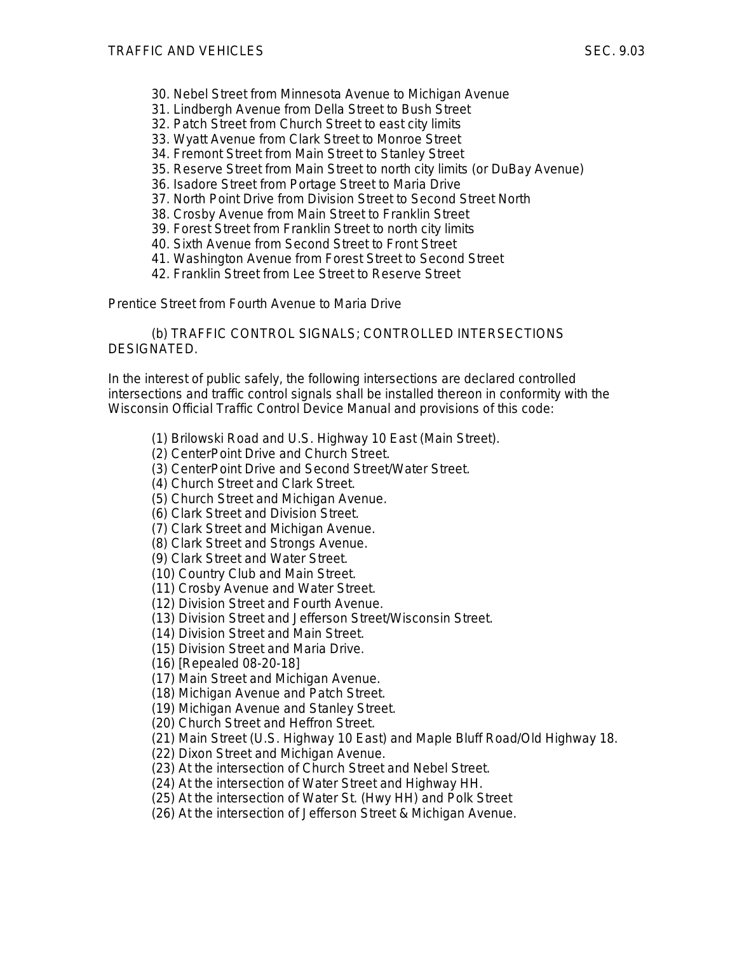- 30. Nebel Street from Minnesota Avenue to Michigan Avenue
- 31. Lindbergh Avenue from Della Street to Bush Street
- 32. Patch Street from Church Street to east city limits
- 33. Wyatt Avenue from Clark Street to Monroe Street
- 34. Fremont Street from Main Street to Stanley Street
- 35. Reserve Street from Main Street to north city limits (or DuBay Avenue)
- 36. Isadore Street from Portage Street to Maria Drive
- 37. North Point Drive from Division Street to Second Street North
- 38. Crosby Avenue from Main Street to Franklin Street
- 39. Forest Street from Franklin Street to north city limits
- 40. Sixth Avenue from Second Street to Front Street
- 41. Washington Avenue from Forest Street to Second Street
- 42. Franklin Street from Lee Street to Reserve Street

Prentice Street from Fourth Avenue to Maria Drive

(b) TRAFFIC CONTROL SIGNALS; CONTROLLED INTERSECTIONS DESIGNATED.

In the interest of public safely, the following intersections are declared controlled intersections and traffic control signals shall be installed thereon in conformity with the Wisconsin Official Traffic Control Device Manual and provisions of this code:

(1) Brilowski Road and U.S. Highway 10 East (Main Street).

(2) CenterPoint Drive and Church Street.

(3) CenterPoint Drive and Second Street/Water Street.

- (4) Church Street and Clark Street.
- (5) Church Street and Michigan Avenue.
- (6) Clark Street and Division Street.
- (7) Clark Street and Michigan Avenue.
- (8) Clark Street and Strongs Avenue.

(9) Clark Street and Water Street.

(10) Country Club and Main Street.

- (11) Crosby Avenue and Water Street.
- (12) Division Street and Fourth Avenue.
- (13) Division Street and Jefferson Street/Wisconsin Street.
- (14) Division Street and Main Street.
- (15) Division Street and Maria Drive.

(16) [Repealed 08-20-18]

(17) Main Street and Michigan Avenue.

(18) Michigan Avenue and Patch Street.

(19) Michigan Avenue and Stanley Street.

(20) Church Street and Heffron Street.

(21) Main Street (U.S. Highway 10 East) and Maple Bluff Road/Old Highway 18.

(22) Dixon Street and Michigan Avenue.

(23) At the intersection of Church Street and Nebel Street.

(24) At the intersection of Water Street and Highway HH.

(25) At the intersection of Water St. (Hwy HH) and Polk Street

(26) At the intersection of Jefferson Street & Michigan Avenue.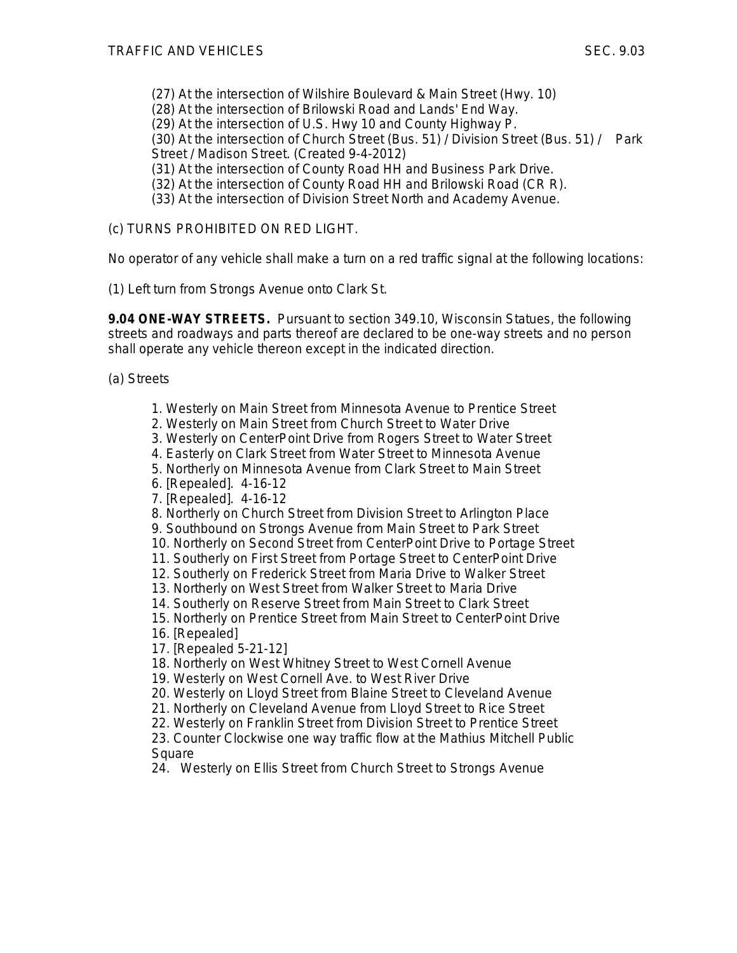- (27) At the intersection of Wilshire Boulevard & Main Street (Hwy. 10)
- (28) At the intersection of Brilowski Road and Lands' End Way.
- (29) At the intersection of U.S. Hwy 10 and County Highway P.

(30) At the intersection of Church Street (Bus. 51) / Division Street (Bus. 51) / Park Street / Madison Street. (Created 9-4-2012)

- (31) At the intersection of County Road HH and Business Park Drive.
- (32) At the intersection of County Road HH and Brilowski Road (CR R).
- (33) At the intersection of Division Street North and Academy Avenue.

(c) TURNS PROHIBITED ON RED LIGHT.

No operator of any vehicle shall make a turn on a red traffic signal at the following locations:

(1) Left turn from Strongs Avenue onto Clark St.

**9.04 ONE-WAY STREETS.** Pursuant to section 349.10, Wisconsin Statues, the following streets and roadways and parts thereof are declared to be one-way streets and no person shall operate any vehicle thereon except in the indicated direction.

(a) Streets

- 1. Westerly on Main Street from Minnesota Avenue to Prentice Street
- 2. Westerly on Main Street from Church Street to Water Drive
- 3. Westerly on CenterPoint Drive from Rogers Street to Water Street
- 4. Easterly on Clark Street from Water Street to Minnesota Avenue
- 5. Northerly on Minnesota Avenue from Clark Street to Main Street
- 6. [Repealed]. 4-16-12
- 7. [Repealed]. 4-16-12
- 8. Northerly on Church Street from Division Street to Arlington Place
- 9. Southbound on Strongs Avenue from Main Street to Park Street
- 10. Northerly on Second Street from CenterPoint Drive to Portage Street
- 11. Southerly on First Street from Portage Street to CenterPoint Drive
- 12. Southerly on Frederick Street from Maria Drive to Walker Street
- 13. Northerly on West Street from Walker Street to Maria Drive
- 14. Southerly on Reserve Street from Main Street to Clark Street
- 15. Northerly on Prentice Street from Main Street to CenterPoint Drive 16. [Repealed]
- 17. [Repealed 5-21-12]
- 18. Northerly on West Whitney Street to West Cornell Avenue
- 19. Westerly on West Cornell Ave. to West River Drive
- 20. Westerly on Lloyd Street from Blaine Street to Cleveland Avenue
- 21. Northerly on Cleveland Avenue from Lloyd Street to Rice Street
- 22. Westerly on Franklin Street from Division Street to Prentice Street
- 23. Counter Clockwise one way traffic flow at the Mathius Mitchell Public Square

24. Westerly on Ellis Street from Church Street to Strongs Avenue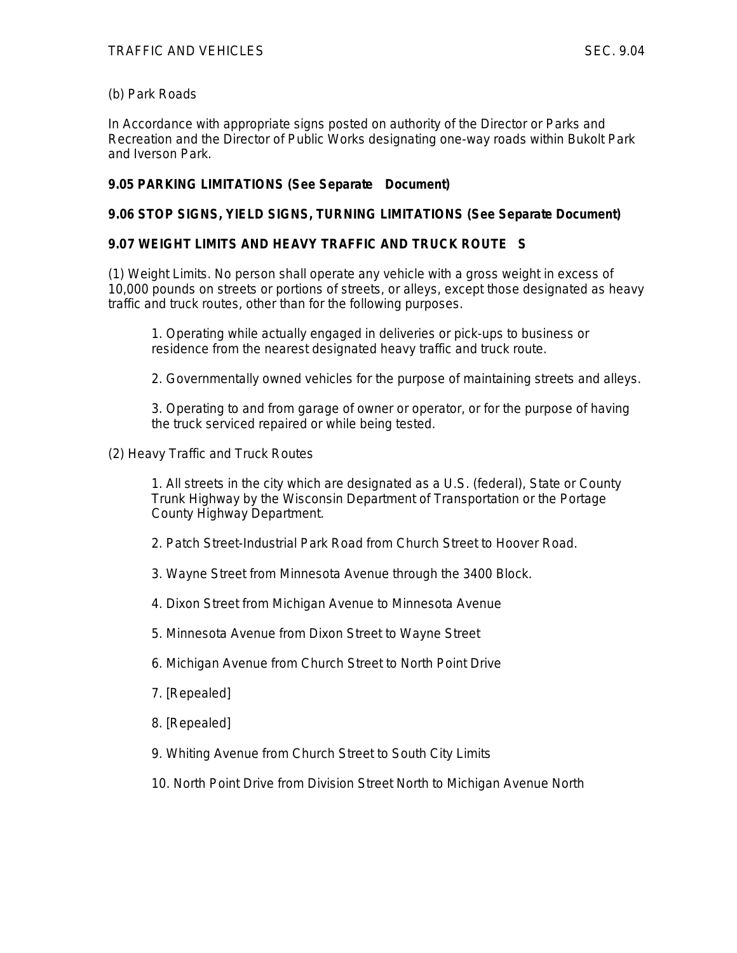## (b) Park Roads

In Accordance with appropriate signs posted on authority of the Director or Parks and Recreation and the Director of Public Works designating one-way roads within Bukolt Park and Iverson Park.

## **9.05 PARKING LIMITATIONS (See Separate Document)**

## **9.06 STOP SIGNS, YIELD SIGNS, TURNING LIMITATIONS (See Separate Document)**

# **9.07 WEIGHT LIMITS AND HEAVY TRAFFIC AND TRUCK ROUTE S**

(1) Weight Limits. No person shall operate any vehicle with a gross weight in excess of 10,000 pounds on streets or portions of streets, or alleys, except those designated as heavy traffic and truck routes, other than for the following purposes.

1. Operating while actually engaged in deliveries or pick-ups to business or residence from the nearest designated heavy traffic and truck route.

2. Governmentally owned vehicles for the purpose of maintaining streets and alleys.

3. Operating to and from garage of owner or operator, or for the purpose of having the truck serviced repaired or while being tested.

(2) Heavy Traffic and Truck Routes

1. All streets in the city which are designated as a U.S. (federal), State or County Trunk Highway by the Wisconsin Department of Transportation or the Portage County Highway Department.

- 2. Patch Street-Industrial Park Road from Church Street to Hoover Road.
- 3. Wayne Street from Minnesota Avenue through the 3400 Block.
- 4. Dixon Street from Michigan Avenue to Minnesota Avenue
- 5. Minnesota Avenue from Dixon Street to Wayne Street
- 6. Michigan Avenue from Church Street to North Point Drive
- 7. [Repealed]
- 8. [Repealed]
- 9. Whiting Avenue from Church Street to South City Limits
- 10. North Point Drive from Division Street North to Michigan Avenue North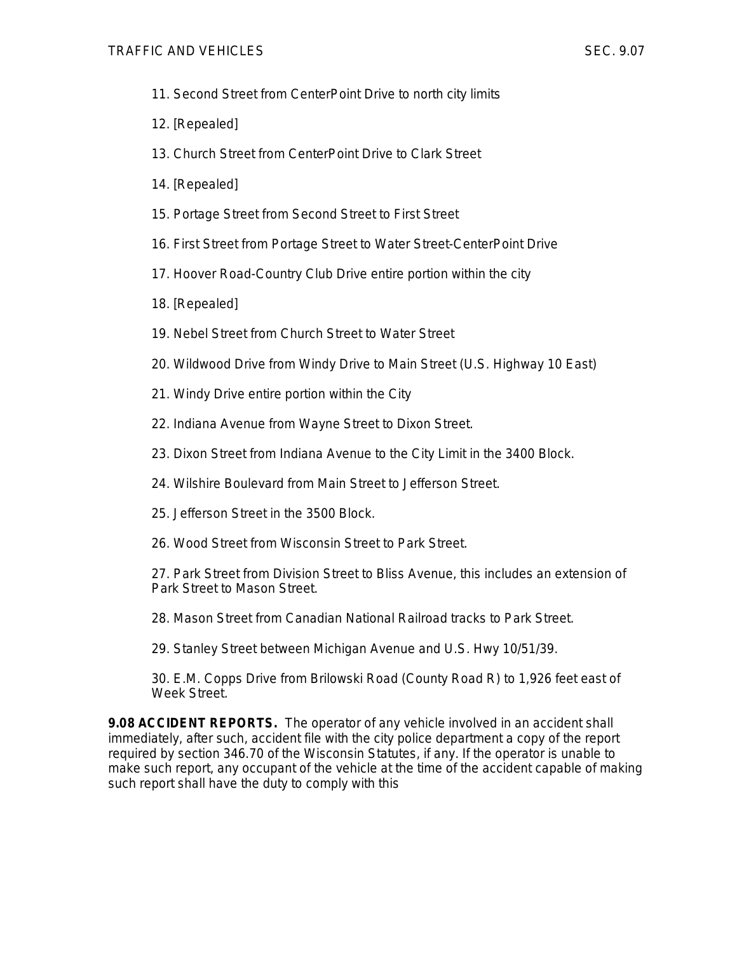- 11. Second Street from CenterPoint Drive to north city limits
- 12. [Repealed]
- 13. Church Street from CenterPoint Drive to Clark Street
- 14. [Repealed]
- 15. Portage Street from Second Street to First Street
- 16. First Street from Portage Street to Water Street-CenterPoint Drive
- 17. Hoover Road-Country Club Drive entire portion within the city
- 18. [Repealed]
- 19. Nebel Street from Church Street to Water Street
- 20. Wildwood Drive from Windy Drive to Main Street (U.S. Highway 10 East)
- 21. Windy Drive entire portion within the City
- 22. Indiana Avenue from Wayne Street to Dixon Street.
- 23. Dixon Street from Indiana Avenue to the City Limit in the 3400 Block.
- 24. Wilshire Boulevard from Main Street to Jefferson Street.
- 25. Jefferson Street in the 3500 Block.
- 26. Wood Street from Wisconsin Street to Park Street.

27. Park Street from Division Street to Bliss Avenue, this includes an extension of Park Street to Mason Street.

- 28. Mason Street from Canadian National Railroad tracks to Park Street.
- 29. Stanley Street between Michigan Avenue and U.S. Hwy 10/51/39.

30. E.M. Copps Drive from Brilowski Road (County Road R) to 1,926 feet east of Week Street.

**9.08 ACCIDENT REPORTS.** The operator of any vehicle involved in an accident shall immediately, after such, accident file with the city police department a copy of the report required by section 346.70 of the Wisconsin Statutes, if any. If the operator is unable to make such report, any occupant of the vehicle at the time of the accident capable of making such report shall have the duty to comply with this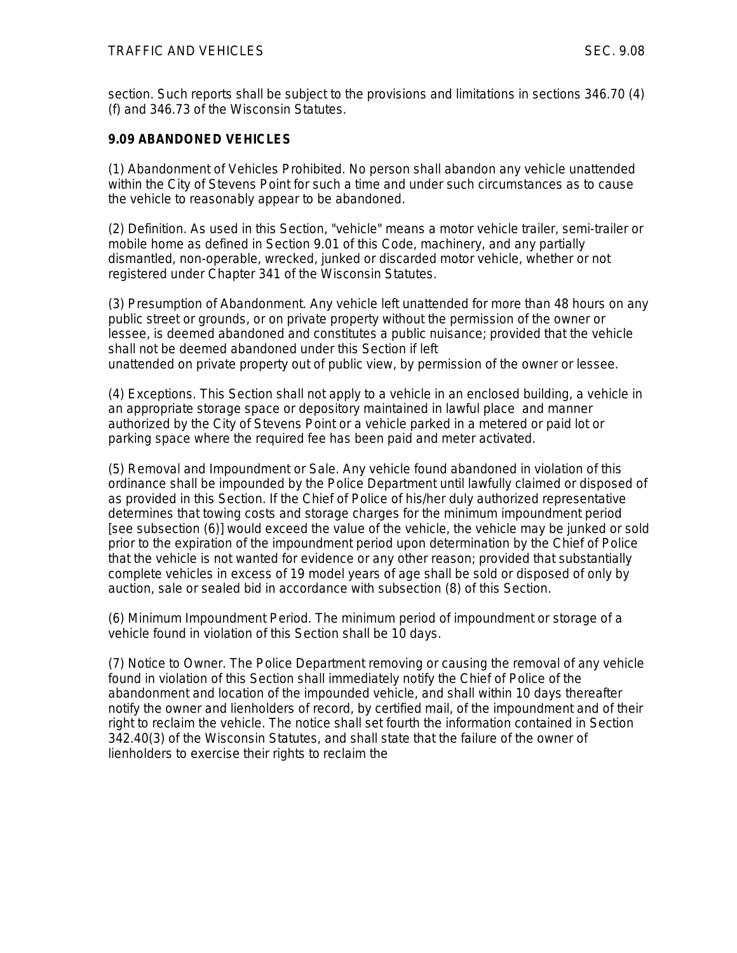section. Such reports shall be subject to the provisions and limitations in sections 346.70 (4) (f) and 346.73 of the Wisconsin Statutes.

## **9.09 ABANDONED VEHICLES**

(1) Abandonment of Vehicles Prohibited. No person shall abandon any vehicle unattended within the City of Stevens Point for such a time and under such circumstances as to cause the vehicle to reasonably appear to be abandoned.

(2) Definition. As used in this Section, "vehicle" means a motor vehicle trailer, semi-trailer or mobile home as defined in Section 9.01 of this Code, machinery, and any partially dismantled, non-operable, wrecked, junked or discarded motor vehicle, whether or not registered under Chapter 341 of the Wisconsin Statutes.

(3) Presumption of Abandonment. Any vehicle left unattended for more than 48 hours on any public street or grounds, or on private property without the permission of the owner or lessee, is deemed abandoned and constitutes a public nuisance; provided that the vehicle shall not be deemed abandoned under this Section if left unattended on private property out of public view, by permission of the owner or lessee.

(4) Exceptions. This Section shall not apply to a vehicle in an enclosed building, a vehicle in an appropriate storage space or depository maintained in lawful place and manner authorized by the City of Stevens Point or a vehicle parked in a metered or paid lot or parking space where the required fee has been paid and meter activated.

(5) Removal and Impoundment or Sale. Any vehicle found abandoned in violation of this ordinance shall be impounded by the Police Department until lawfully claimed or disposed of as provided in this Section. If the Chief of Police of his/her duly authorized representative determines that towing costs and storage charges for the minimum impoundment period [see subsection (6)] would exceed the value of the vehicle, the vehicle may be junked or sold prior to the expiration of the impoundment period upon determination by the Chief of Police that the vehicle is not wanted for evidence or any other reason; provided that substantially complete vehicles in excess of 19 model years of age shall be sold or disposed of only by auction, sale or sealed bid in accordance with subsection (8) of this Section.

(6) Minimum Impoundment Period. The minimum period of impoundment or storage of a vehicle found in violation of this Section shall be 10 days.

(7) Notice to Owner. The Police Department removing or causing the removal of any vehicle found in violation of this Section shall immediately notify the Chief of Police of the abandonment and location of the impounded vehicle, and shall within 10 days thereafter notify the owner and lienholders of record, by certified mail, of the impoundment and of their right to reclaim the vehicle. The notice shall set fourth the information contained in Section 342.40(3) of the Wisconsin Statutes, and shall state that the failure of the owner of lienholders to exercise their rights to reclaim the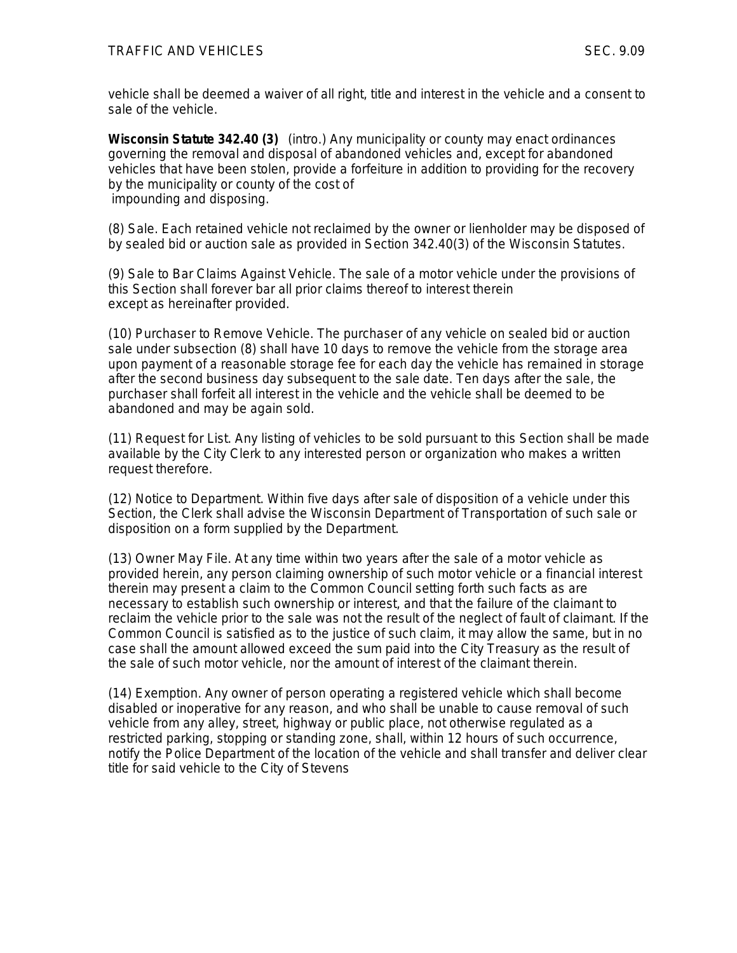vehicle shall be deemed a waiver of all right, title and interest in the vehicle and a consent to sale of the vehicle.

*Wisconsin Statute 342.40 (3) (intro.) Any municipality or county may enact ordinances governing the removal and disposal of abandoned vehicles and, except for abandoned vehicles that have been stolen, provide a forfeiture in addition to providing for the recovery by the municipality or county of the cost of impounding and disposing.*

(8) Sale. Each retained vehicle not reclaimed by the owner or lienholder may be disposed of by sealed bid or auction sale as provided in Section 342.40(3) of the Wisconsin Statutes.

(9) Sale to Bar Claims Against Vehicle. The sale of a motor vehicle under the provisions of this Section shall forever bar all prior claims thereof to interest therein except as hereinafter provided.

(10) Purchaser to Remove Vehicle. The purchaser of any vehicle on sealed bid or auction sale under subsection (8) shall have 10 days to remove the vehicle from the storage area upon payment of a reasonable storage fee for each day the vehicle has remained in storage after the second business day subsequent to the sale date. Ten days after the sale, the purchaser shall forfeit all interest in the vehicle and the vehicle shall be deemed to be abandoned and may be again sold.

(11) Request for List. Any listing of vehicles to be sold pursuant to this Section shall be made available by the City Clerk to any interested person or organization who makes a written request therefore.

(12) Notice to Department. Within five days after sale of disposition of a vehicle under this Section, the Clerk shall advise the Wisconsin Department of Transportation of such sale or disposition on a form supplied by the Department.

(13) Owner May File. At any time within two years after the sale of a motor vehicle as provided herein, any person claiming ownership of such motor vehicle or a financial interest therein may present a claim to the Common Council setting forth such facts as are necessary to establish such ownership or interest, and that the failure of the claimant to reclaim the vehicle prior to the sale was not the result of the neglect of fault of claimant. If the Common Council is satisfied as to the justice of such claim, it may allow the same, but in no case shall the amount allowed exceed the sum paid into the City Treasury as the result of the sale of such motor vehicle, nor the amount of interest of the claimant therein.

(14) Exemption. Any owner of person operating a registered vehicle which shall become disabled or inoperative for any reason, and who shall be unable to cause removal of such vehicle from any alley, street, highway or public place, not otherwise regulated as a restricted parking, stopping or standing zone, shall, within 12 hours of such occurrence, notify the Police Department of the location of the vehicle and shall transfer and deliver clear title for said vehicle to the City of Stevens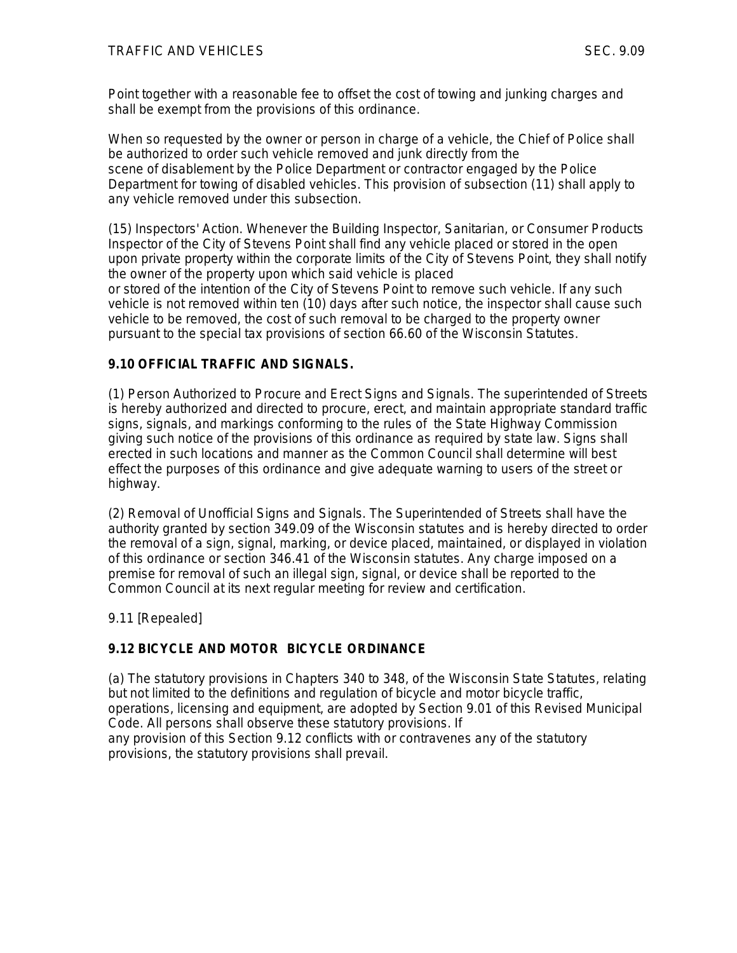Point together with a reasonable fee to offset the cost of towing and junking charges and shall be exempt from the provisions of this ordinance.

When so requested by the owner or person in charge of a vehicle, the Chief of Police shall be authorized to order such vehicle removed and junk directly from the scene of disablement by the Police Department or contractor engaged by the Police Department for towing of disabled vehicles. This provision of subsection (11) shall apply to any vehicle removed under this subsection.

(15) Inspectors' Action. Whenever the Building Inspector, Sanitarian, or Consumer Products Inspector of the City of Stevens Point shall find any vehicle placed or stored in the open upon private property within the corporate limits of the City of Stevens Point, they shall notify the owner of the property upon which said vehicle is placed or stored of the intention of the City of Stevens Point to remove such vehicle. If any such vehicle is not removed within ten (10) days after such notice, the inspector shall cause such

vehicle to be removed, the cost of such removal to be charged to the property owner pursuant to the special tax provisions of section 66.60 of the Wisconsin Statutes.

# **9.10 OFFICIAL TRAFFIC AND SIGNALS.**

(1) Person Authorized to Procure and Erect Signs and Signals. The superintended of Streets is hereby authorized and directed to procure, erect, and maintain appropriate standard traffic signs, signals, and markings conforming to the rules of the State Highway Commission giving such notice of the provisions of this ordinance as required by state law. Signs shall erected in such locations and manner as the Common Council shall determine will best effect the purposes of this ordinance and give adequate warning to users of the street or highway.

(2) Removal of Unofficial Signs and Signals. The Superintended of Streets shall have the authority granted by section 349.09 of the Wisconsin statutes and is hereby directed to order the removal of a sign, signal, marking, or device placed, maintained, or displayed in violation of this ordinance or section 346.41 of the Wisconsin statutes. Any charge imposed on a premise for removal of such an illegal sign, signal, or device shall be reported to the Common Council at its next regular meeting for review and certification.

9.11 [Repealed]

# **9.12 BICYCLE AND MOTOR BICYCLE ORDINANCE**

(a) The statutory provisions in Chapters 340 to 348, of the Wisconsin State Statutes, relating but not limited to the definitions and regulation of bicycle and motor bicycle traffic, operations, licensing and equipment, are adopted by Section 9.01 of this Revised Municipal Code. All persons shall observe these statutory provisions. If any provision of this Section 9.12 conflicts with or contravenes any of the statutory provisions, the statutory provisions shall prevail.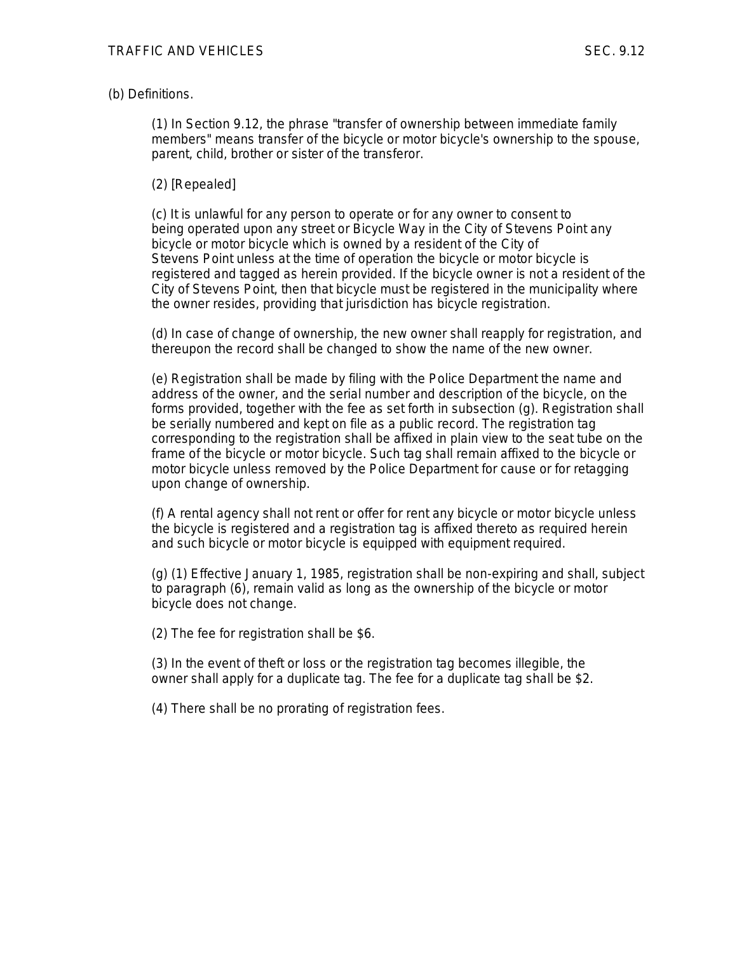#### (b) Definitions.

(1) In Section 9.12, the phrase "transfer of ownership between immediate family members" means transfer of the bicycle or motor bicycle's ownership to the spouse, parent, child, brother or sister of the transferor.

#### (2) [Repealed]

(c) It is unlawful for any person to operate or for any owner to consent to being operated upon any street or Bicycle Way in the City of Stevens Point any bicycle or motor bicycle which is owned by a resident of the City of Stevens Point unless at the time of operation the bicycle or motor bicycle is registered and tagged as herein provided. If the bicycle owner is not a resident of the City of Stevens Point, then that bicycle must be registered in the municipality where the owner resides, providing that jurisdiction has bicycle registration.

(d) In case of change of ownership, the new owner shall reapply for registration, and thereupon the record shall be changed to show the name of the new owner.

(e) Registration shall be made by filing with the Police Department the name and address of the owner, and the serial number and description of the bicycle, on the forms provided, together with the fee as set forth in subsection (g). Registration shall be serially numbered and kept on file as a public record. The registration tag corresponding to the registration shall be affixed in plain view to the seat tube on the frame of the bicycle or motor bicycle. Such tag shall remain affixed to the bicycle or motor bicycle unless removed by the Police Department for cause or for retagging upon change of ownership.

(f) A rental agency shall not rent or offer for rent any bicycle or motor bicycle unless the bicycle is registered and a registration tag is affixed thereto as required herein and such bicycle or motor bicycle is equipped with equipment required.

(g) (1) Effective January 1, 1985, registration shall be non-expiring and shall, subject to paragraph (6), remain valid as long as the ownership of the bicycle or motor bicycle does not change.

(2) The fee for registration shall be \$6.

(3) In the event of theft or loss or the registration tag becomes illegible, the owner shall apply for a duplicate tag. The fee for a duplicate tag shall be \$2.

(4) There shall be no prorating of registration fees.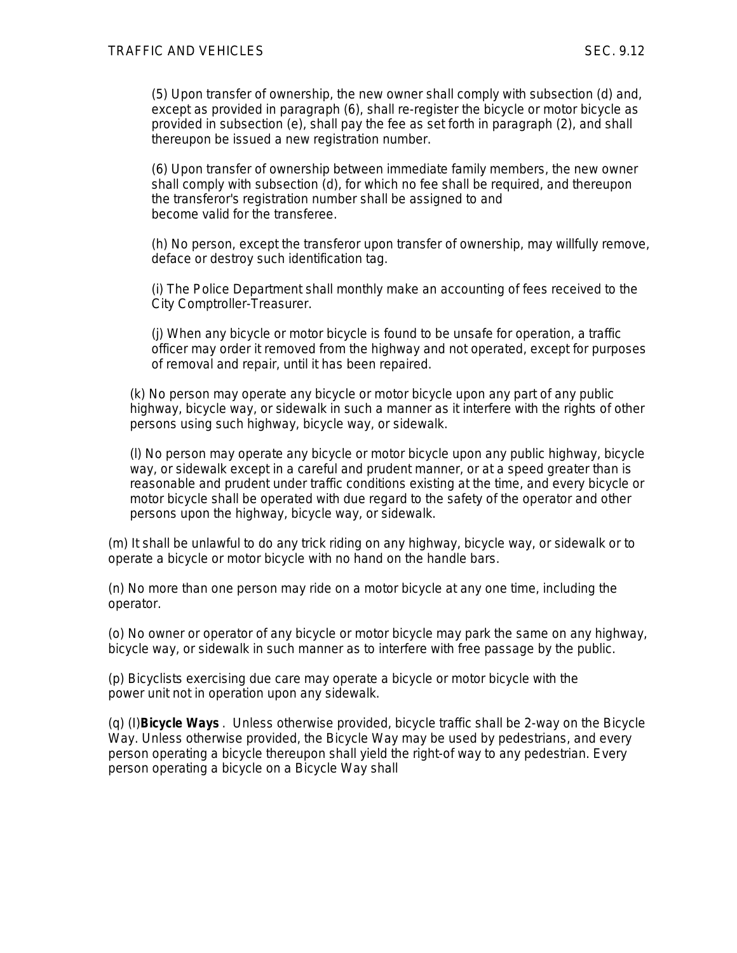(5) Upon transfer of ownership, the new owner shall comply with subsection (d) and, except as provided in paragraph (6), shall re-register the bicycle or motor bicycle as provided in subsection (e), shall pay the fee as set forth in paragraph (2), and shall thereupon be issued a new registration number.

(6) Upon transfer of ownership between immediate family members, the new owner shall comply with subsection (d), for which no fee shall be required, and thereupon the transferor's registration number shall be assigned to and become valid for the transferee.

(h) No person, except the transferor upon transfer of ownership, may willfully remove, deface or destroy such identification tag.

(i) The Police Department shall monthly make an accounting of fees received to the City Comptroller-Treasurer.

(j) When any bicycle or motor bicycle is found to be unsafe for operation, a traffic officer may order it removed from the highway and not operated, except for purposes of removal and repair, until it has been repaired.

(k) No person may operate any bicycle or motor bicycle upon any part of any public highway, bicycle way, or sidewalk in such a manner as it interfere with the rights of other persons using such highway, bicycle way, or sidewalk.

(l) No person may operate any bicycle or motor bicycle upon any public highway, bicycle way, or sidewalk except in a careful and prudent manner, or at a speed greater than is reasonable and prudent under traffic conditions existing at the time, and every bicycle or motor bicycle shall be operated with due regard to the safety of the operator and other persons upon the highway, bicycle way, or sidewalk.

(m) It shall be unlawful to do any trick riding on any highway, bicycle way, or sidewalk or to operate a bicycle or motor bicycle with no hand on the handle bars.

(n) No more than one person may ride on a motor bicycle at any one time, including the operator.

(o) No owner or operator of any bicycle or motor bicycle may park the same on any highway, bicycle way, or sidewalk in such manner as to interfere with free passage by the public.

(p) Bicyclists exercising due care may operate a bicycle or motor bicycle with the power unit not in operation upon any sidewalk.

(q) (I)**Bicycle Ways** . Unless otherwise provided, bicycle traffic shall be 2-way on the Bicycle Way. Unless otherwise provided, the Bicycle Way may be used by pedestrians, and every person operating a bicycle thereupon shall yield the right-of way to any pedestrian. Every person operating a bicycle on a Bicycle Way shall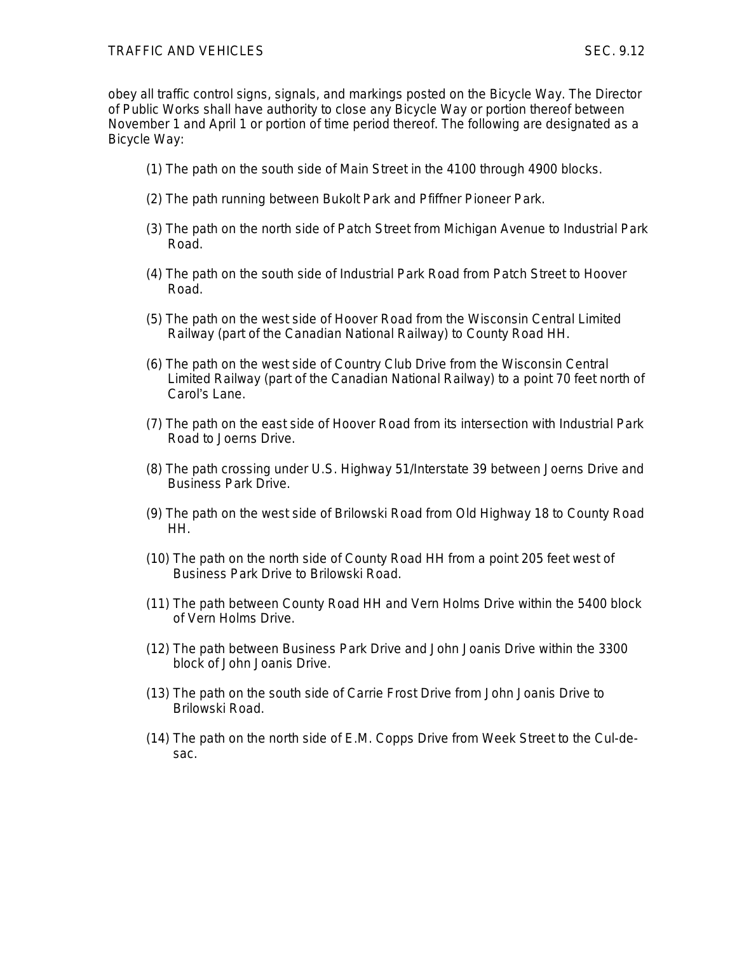#### TRAFFIC AND VEHICLES SEC. 9.12

obey all traffic control signs, signals, and markings posted on the Bicycle Way. The Director of Public Works shall have authority to close any Bicycle Way or portion thereof between November 1 and April 1 or portion of time period thereof. The following are designated as a Bicycle Way:

- (1) The path on the south side of Main Street in the 4100 through 4900 blocks.
- (2) The path running between Bukolt Park and Pfiffner Pioneer Park.
- (3) The path on the north side of Patch Street from Michigan Avenue to Industrial Park Road.
- (4) The path on the south side of Industrial Park Road from Patch Street to Hoover Road.
- (5) The path on the west side of Hoover Road from the Wisconsin Central Limited Railway (part of the Canadian National Railway) to County Road HH.
- (6) The path on the west side of Country Club Drive from the Wisconsin Central Limited Railway (part of the Canadian National Railway) to a point 70 feet north of Carol's Lane.
- (7) The path on the east side of Hoover Road from its intersection with Industrial Park Road to Joerns Drive.
- (8) The path crossing under U.S. Highway 51/Interstate 39 between Joerns Drive and Business Park Drive.
- (9) The path on the west side of Brilowski Road from Old Highway 18 to County Road HH.
- (10) The path on the north side of County Road HH from a point 205 feet west of Business Park Drive to Brilowski Road.
- (11) The path between County Road HH and Vern Holms Drive within the 5400 block of Vern Holms Drive.
- (12) The path between Business Park Drive and John Joanis Drive within the 3300 block of John Joanis Drive.
- (13) The path on the south side of Carrie Frost Drive from John Joanis Drive to Brilowski Road.
- (14) The path on the north side of E.M. Copps Drive from Week Street to the Cul-desac.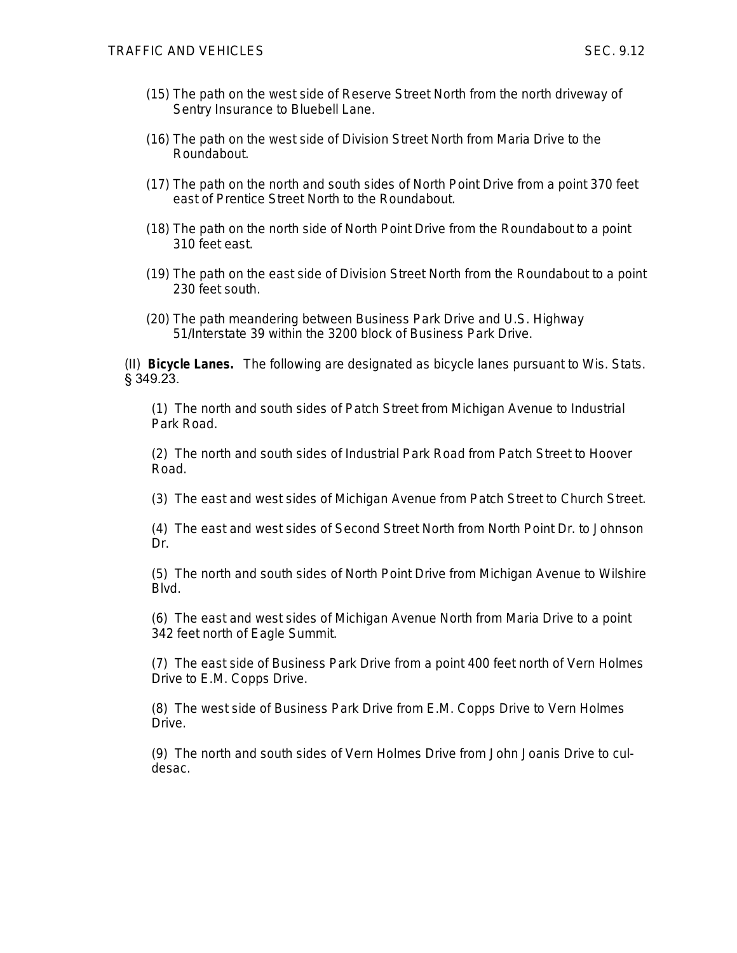- (15) The path on the west side of Reserve Street North from the north driveway of Sentry Insurance to Bluebell Lane.
- (16) The path on the west side of Division Street North from Maria Drive to the Roundabout.
- (17) The path on the north and south sides of North Point Drive from a point 370 feet east of Prentice Street North to the Roundabout.
- (18) The path on the north side of North Point Drive from the Roundabout to a point 310 feet east.
- (19) The path on the east side of Division Street North from the Roundabout to a point 230 feet south.
- (20) The path meandering between Business Park Drive and U.S. Highway 51/Interstate 39 within the 3200 block of Business Park Drive.

(II) **Bicycle Lanes.** The following are designated as bicycle lanes pursuant to Wis. Stats. § 349.23.

(1) The north and south sides of Patch Street from Michigan Avenue to Industrial Park Road.

(2) The north and south sides of Industrial Park Road from Patch Street to Hoover Road.

(3) The east and west sides of Michigan Avenue from Patch Street to Church Street.

(4) The east and west sides of Second Street North from North Point Dr. to Johnson Dr.

(5) The north and south sides of North Point Drive from Michigan Avenue to Wilshire Blvd.

(6) The east and west sides of Michigan Avenue North from Maria Drive to a point 342 feet north of Eagle Summit.

(7) The east side of Business Park Drive from a point 400 feet north of Vern Holmes Drive to E.M. Copps Drive.

(8) The west side of Business Park Drive from E.M. Copps Drive to Vern Holmes Drive.

(9) The north and south sides of Vern Holmes Drive from John Joanis Drive to culdesac.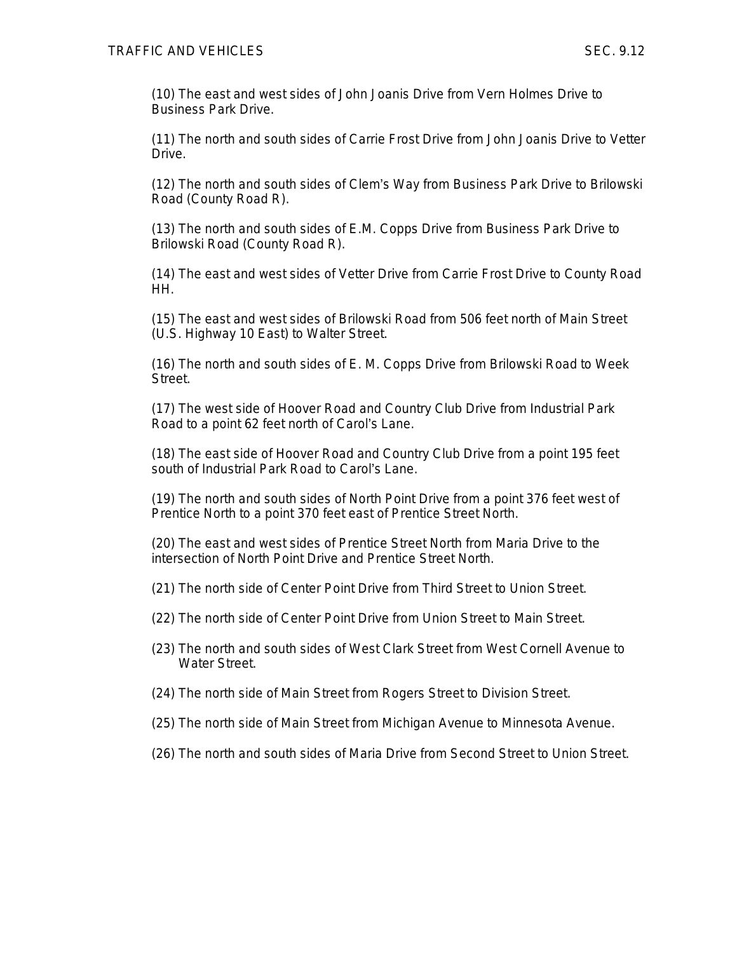(10) The east and west sides of John Joanis Drive from Vern Holmes Drive to Business Park Drive.

(11) The north and south sides of Carrie Frost Drive from John Joanis Drive to Vetter Drive.

(12) The north and south sides of Clem's Way from Business Park Drive to Brilowski Road (County Road R).

(13) The north and south sides of E.M. Copps Drive from Business Park Drive to Brilowski Road (County Road R).

(14) The east and west sides of Vetter Drive from Carrie Frost Drive to County Road HH.

(15) The east and west sides of Brilowski Road from 506 feet north of Main Street (U.S. Highway 10 East) to Walter Street.

(16) The north and south sides of E. M. Copps Drive from Brilowski Road to Week Street.

(17) The west side of Hoover Road and Country Club Drive from Industrial Park Road to a point 62 feet north of Carol's Lane.

(18) The east side of Hoover Road and Country Club Drive from a point 195 feet south of Industrial Park Road to Carol's Lane.

(19) The north and south sides of North Point Drive from a point 376 feet west of Prentice North to a point 370 feet east of Prentice Street North.

(20) The east and west sides of Prentice Street North from Maria Drive to the intersection of North Point Drive and Prentice Street North.

(21) The north side of Center Point Drive from Third Street to Union Street.

- (22) The north side of Center Point Drive from Union Street to Main Street.
- (23) The north and south sides of West Clark Street from West Cornell Avenue to Water Street.
- (24) The north side of Main Street from Rogers Street to Division Street.
- (25) The north side of Main Street from Michigan Avenue to Minnesota Avenue.
- (26) The north and south sides of Maria Drive from Second Street to Union Street.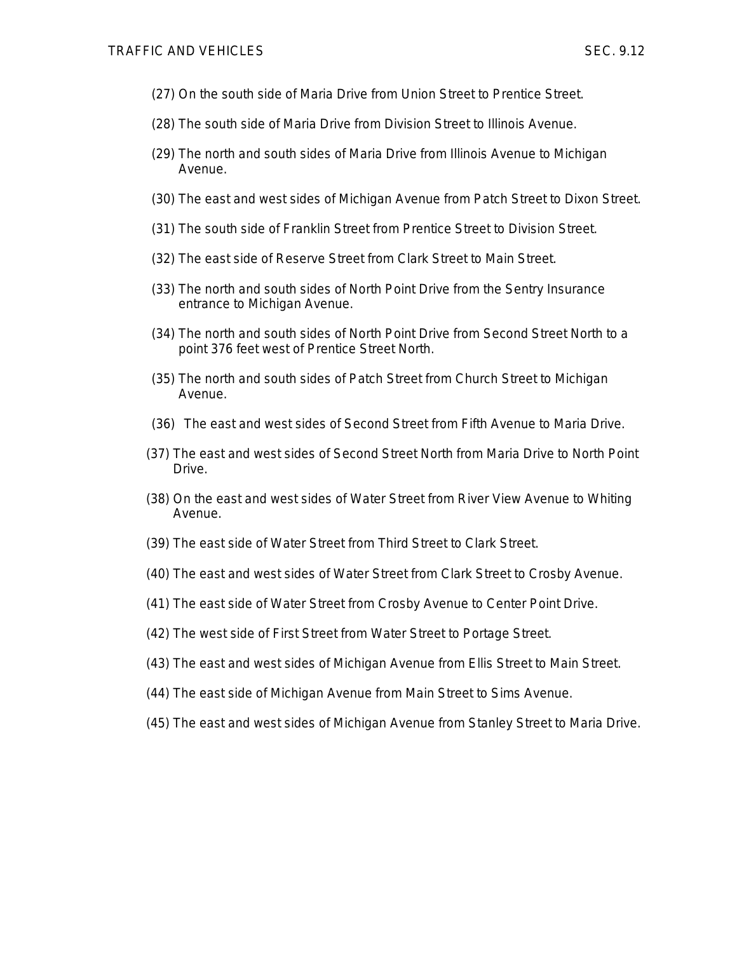- (27) On the south side of Maria Drive from Union Street to Prentice Street.
- (28) The south side of Maria Drive from Division Street to Illinois Avenue.
- (29) The north and south sides of Maria Drive from Illinois Avenue to Michigan Avenue.
- (30) The east and west sides of Michigan Avenue from Patch Street to Dixon Street.
- (31) The south side of Franklin Street from Prentice Street to Division Street.
- (32) The east side of Reserve Street from Clark Street to Main Street.
- (33) The north and south sides of North Point Drive from the Sentry Insurance entrance to Michigan Avenue.
- (34) The north and south sides of North Point Drive from Second Street North to a point 376 feet west of Prentice Street North.
- (35) The north and south sides of Patch Street from Church Street to Michigan Avenue.
- (36) The east and west sides of Second Street from Fifth Avenue to Maria Drive.
- (37) The east and west sides of Second Street North from Maria Drive to North Point Drive.
- (38) On the east and west sides of Water Street from River View Avenue to Whiting Avenue.
- (39) The east side of Water Street from Third Street to Clark Street.
- (40) The east and west sides of Water Street from Clark Street to Crosby Avenue.
- (41) The east side of Water Street from Crosby Avenue to Center Point Drive.
- (42) The west side of First Street from Water Street to Portage Street.
- (43) The east and west sides of Michigan Avenue from Ellis Street to Main Street.
- (44) The east side of Michigan Avenue from Main Street to Sims Avenue.
- (45) The east and west sides of Michigan Avenue from Stanley Street to Maria Drive.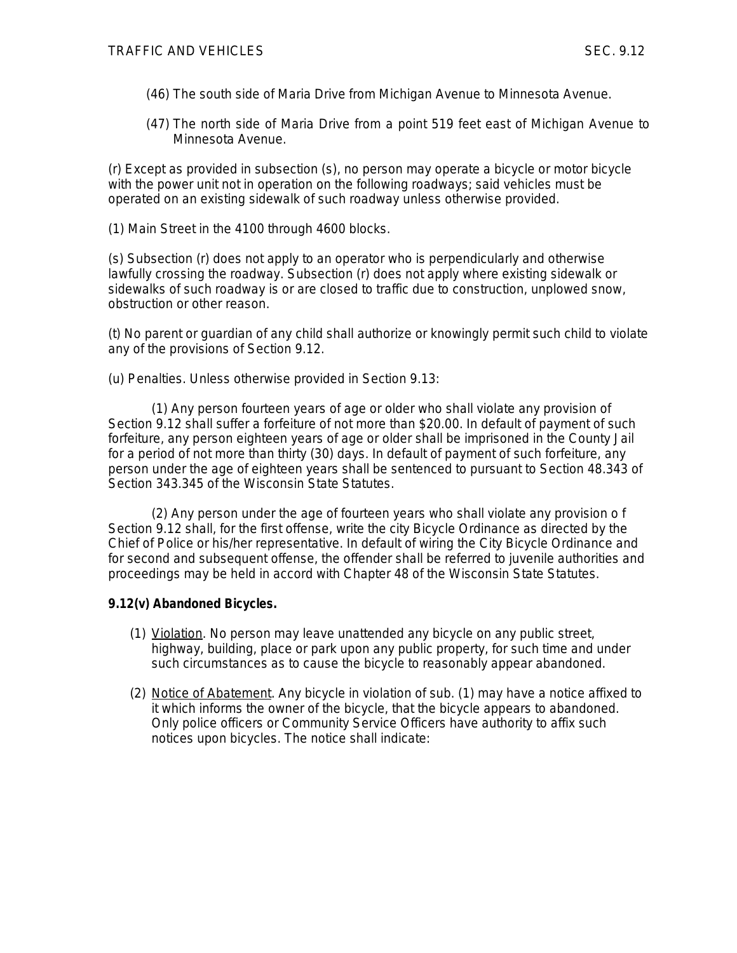- (46) The south side of Maria Drive from Michigan Avenue to Minnesota Avenue.
- (47) The north side of Maria Drive from a point 519 feet east of Michigan Avenue to Minnesota Avenue.

(r) Except as provided in subsection (s), no person may operate a bicycle or motor bicycle with the power unit not in operation on the following roadways; said vehicles must be operated on an existing sidewalk of such roadway unless otherwise provided.

(1) Main Street in the 4100 through 4600 blocks.

(s) Subsection (r) does not apply to an operator who is perpendicularly and otherwise lawfully crossing the roadway. Subsection (r) does not apply where existing sidewalk or sidewalks of such roadway is or are closed to traffic due to construction, unplowed snow, obstruction or other reason.

(t) No parent or guardian of any child shall authorize or knowingly permit such child to violate any of the provisions of Section 9.12.

(u) Penalties. Unless otherwise provided in Section 9.13:

(1) Any person fourteen years of age or older who shall violate any provision of Section 9.12 shall suffer a forfeiture of not more than \$20.00. In default of payment of such forfeiture, any person eighteen years of age or older shall be imprisoned in the County Jail for a period of not more than thirty (30) days. In default of payment of such forfeiture, any person under the age of eighteen years shall be sentenced to pursuant to Section 48.343 of Section 343.345 of the Wisconsin State Statutes.

(2) Any person under the age of fourteen years who shall violate any provision o f Section 9.12 shall, for the first offense, write the city Bicycle Ordinance as directed by the Chief of Police or his/her representative. In default of wiring the City Bicycle Ordinance and for second and subsequent offense, the offender shall be referred to juvenile authorities and proceedings may be held in accord with Chapter 48 of the Wisconsin State Statutes.

## **9.12(v) Abandoned Bicycles.**

- (1) Violation. No person may leave unattended any bicycle on any public street, highway, building, place or park upon any public property, for such time and under such circumstances as to cause the bicycle to reasonably appear abandoned.
- (2) Notice of Abatement. Any bicycle in violation of sub. (1) may have a notice affixed to it which informs the owner of the bicycle, that the bicycle appears to abandoned. Only police officers or Community Service Officers have authority to affix such notices upon bicycles. The notice shall indicate: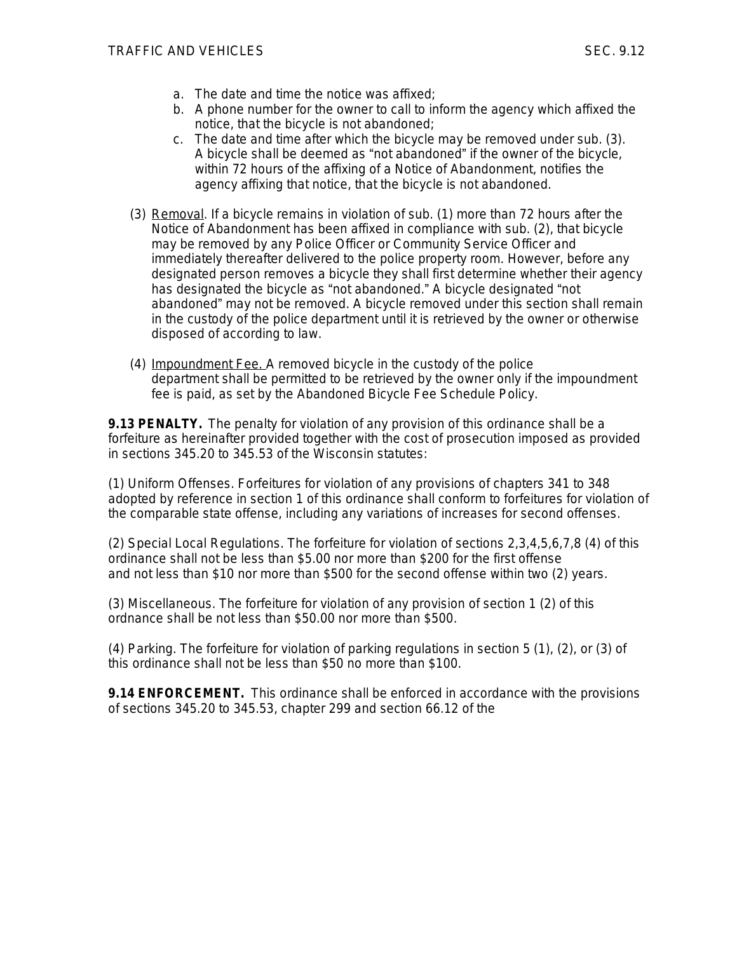- a. The date and time the notice was affixed;
- b. A phone number for the owner to call to inform the agency which affixed the notice, that the bicycle is not abandoned;
- c. The date and time after which the bicycle may be removed under sub. (3). A bicycle shall be deemed as "not abandoned" if the owner of the bicycle, within 72 hours of the affixing of a Notice of Abandonment, notifies the agency affixing that notice, that the bicycle is not abandoned.
- (3) Removal. If a bicycle remains in violation of sub. (1) more than 72 hours after the Notice of Abandonment has been affixed in compliance with sub. (2), that bicycle may be removed by any Police Officer or Community Service Officer and immediately thereafter delivered to the police property room. However, before any designated person removes a bicycle they shall first determine whether their agency has designated the bicycle as "not abandoned." A bicycle designated "not abandoned" may not be removed. A bicycle removed under this section shall remain in the custody of the police department until it is retrieved by the owner or otherwise disposed of according to law.
- (4) Impoundment Fee. A removed bicycle in the custody of the police department shall be permitted to be retrieved by the owner only if the impoundment fee is paid, as set by the Abandoned Bicycle Fee Schedule Policy.

**9.13 PENALTY.** The penalty for violation of any provision of this ordinance shall be a forfeiture as hereinafter provided together with the cost of prosecution imposed as provided in sections 345.20 to 345.53 of the Wisconsin statutes:

(1) Uniform Offenses. Forfeitures for violation of any provisions of chapters 341 to 348 adopted by reference in section 1 of this ordinance shall conform to forfeitures for violation of the comparable state offense, including any variations of increases for second offenses.

(2) Special Local Regulations. The forfeiture for violation of sections 2,3,4,5,6,7,8 (4) of this ordinance shall not be less than \$5.00 nor more than \$200 for the first offense and not less than \$10 nor more than \$500 for the second offense within two (2) years.

(3) Miscellaneous. The forfeiture for violation of any provision of section 1 (2) of this ordnance shall be not less than \$50.00 nor more than \$500.

(4) Parking. The forfeiture for violation of parking regulations in section 5 (1), (2), or (3) of this ordinance shall not be less than \$50 no more than \$100.

**9.14 ENFORCEMENT.** This ordinance shall be enforced in accordance with the provisions of sections 345.20 to 345.53, chapter 299 and section 66.12 of the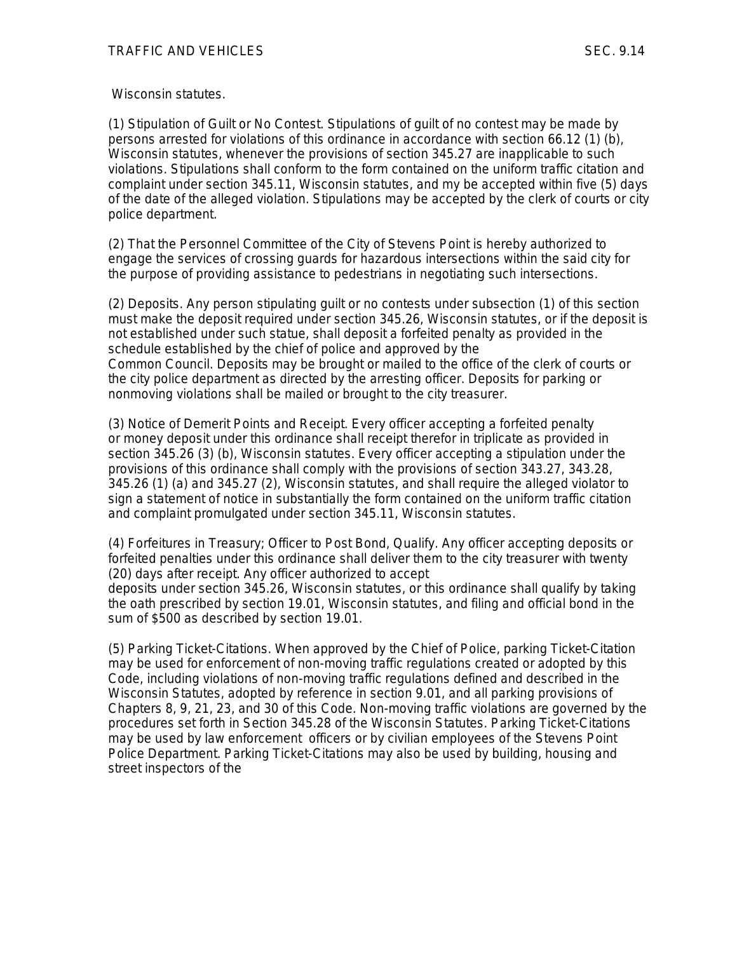Wisconsin statutes.

(1) Stipulation of Guilt or No Contest. Stipulations of guilt of no contest may be made by persons arrested for violations of this ordinance in accordance with section 66.12 (1) (b), Wisconsin statutes, whenever the provisions of section 345.27 are inapplicable to such violations. Stipulations shall conform to the form contained on the uniform traffic citation and complaint under section 345.11, Wisconsin statutes, and my be accepted within five (5) days of the date of the alleged violation. Stipulations may be accepted by the clerk of courts or city police department.

(2) That the Personnel Committee of the City of Stevens Point is hereby authorized to engage the services of crossing guards for hazardous intersections within the said city for the purpose of providing assistance to pedestrians in negotiating such intersections.

(2) Deposits. Any person stipulating guilt or no contests under subsection (1) of this section must make the deposit required under section 345.26, Wisconsin statutes, or if the deposit is not established under such statue, shall deposit a forfeited penalty as provided in the schedule established by the chief of police and approved by the Common Council. Deposits may be brought or mailed to the office of the clerk of courts or the city police department as directed by the arresting officer. Deposits for parking or nonmoving violations shall be mailed or brought to the city treasurer.

(3) Notice of Demerit Points and Receipt. Every officer accepting a forfeited penalty or money deposit under this ordinance shall receipt therefor in triplicate as provided in section 345.26 (3) (b), Wisconsin statutes. Every officer accepting a stipulation under the provisions of this ordinance shall comply with the provisions of section 343.27, 343.28, 345.26 (1) (a) and 345.27 (2), Wisconsin statutes, and shall require the alleged violator to sign a statement of notice in substantially the form contained on the uniform traffic citation and complaint promulgated under section 345.11, Wisconsin statutes.

(4) Forfeitures in Treasury; Officer to Post Bond, Qualify. Any officer accepting deposits or forfeited penalties under this ordinance shall deliver them to the city treasurer with twenty (20) days after receipt. Any officer authorized to accept

deposits under section 345.26, Wisconsin statutes, or this ordinance shall qualify by taking the oath prescribed by section 19.01, Wisconsin statutes, and filing and official bond in the sum of \$500 as described by section 19.01.

(5) Parking Ticket-Citations. When approved by the Chief of Police, parking Ticket-Citation may be used for enforcement of non-moving traffic regulations created or adopted by this Code, including violations of non-moving traffic regulations defined and described in the Wisconsin Statutes, adopted by reference in section 9.01, and all parking provisions of Chapters 8, 9, 21, 23, and 30 of this Code. Non-moving traffic violations are governed by the procedures set forth in Section 345.28 of the Wisconsin Statutes. Parking Ticket-Citations may be used by law enforcement officers or by civilian employees of the Stevens Point Police Department. Parking Ticket-Citations may also be used by building, housing and street inspectors of the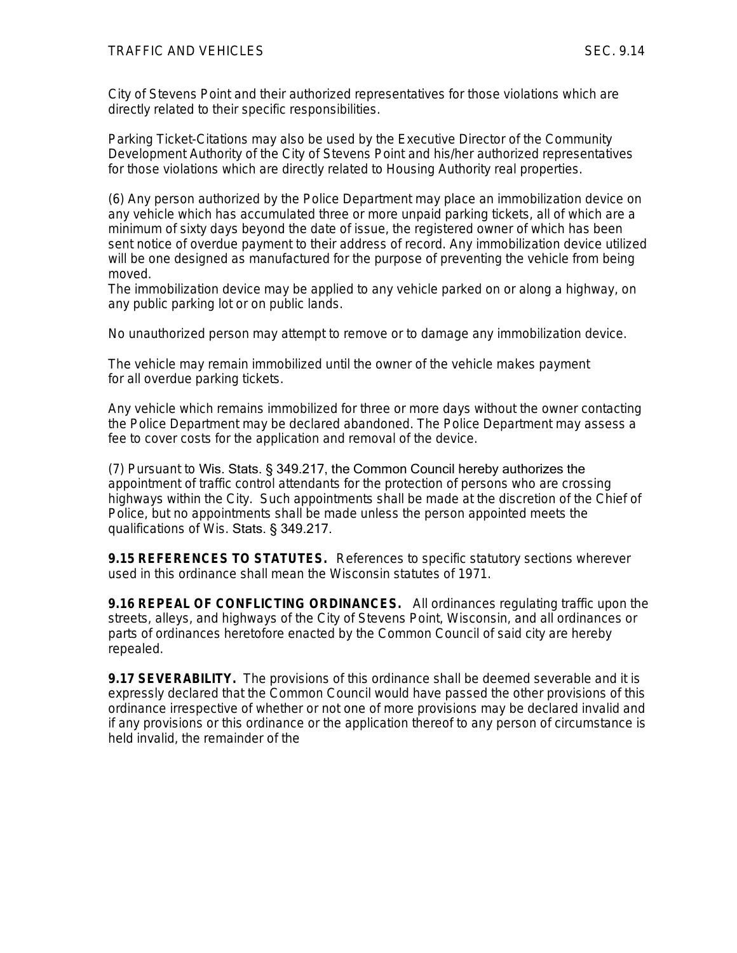City of Stevens Point and their authorized representatives for those violations which are directly related to their specific responsibilities.

Parking Ticket-Citations may also be used by the Executive Director of the Community Development Authority of the City of Stevens Point and his/her authorized representatives for those violations which are directly related to Housing Authority real properties.

(6) Any person authorized by the Police Department may place an immobilization device on any vehicle which has accumulated three or more unpaid parking tickets, all of which are a minimum of sixty days beyond the date of issue, the registered owner of which has been sent notice of overdue payment to their address of record. Any immobilization device utilized will be one designed as manufactured for the purpose of preventing the vehicle from being moved.

The immobilization device may be applied to any vehicle parked on or along a highway, on any public parking lot or on public lands.

No unauthorized person may attempt to remove or to damage any immobilization device.

The vehicle may remain immobilized until the owner of the vehicle makes payment for all overdue parking tickets.

Any vehicle which remains immobilized for three or more days without the owner contacting the Police Department may be declared abandoned. The Police Department may assess a fee to cover costs for the application and removal of the device.

(7) Pursuant to Wis. Stats. § 349.217, the Common Council hereby authorizes the appointment of traffic control attendants for the protection of persons who are crossing highways within the City. Such appointments shall be made at the discretion of the Chief of Police, but no appointments shall be made unless the person appointed meets the qualifications of Wis. Stats. § 349.217.

**9.15 REFERENCES TO STATUTES.** References to specific statutory sections wherever used in this ordinance shall mean the Wisconsin statutes of 1971.

**9.16 REPEAL OF CONFLICTING ORDINANCES.** All ordinances regulating traffic upon the streets, alleys, and highways of the City of Stevens Point, Wisconsin, and all ordinances or parts of ordinances heretofore enacted by the Common Council of said city are hereby repealed.

**9.17 SEVERABILITY.** The provisions of this ordinance shall be deemed severable and it is expressly declared that the Common Council would have passed the other provisions of this ordinance irrespective of whether or not one of more provisions may be declared invalid and if any provisions or this ordinance or the application thereof to any person of circumstance is held invalid, the remainder of the